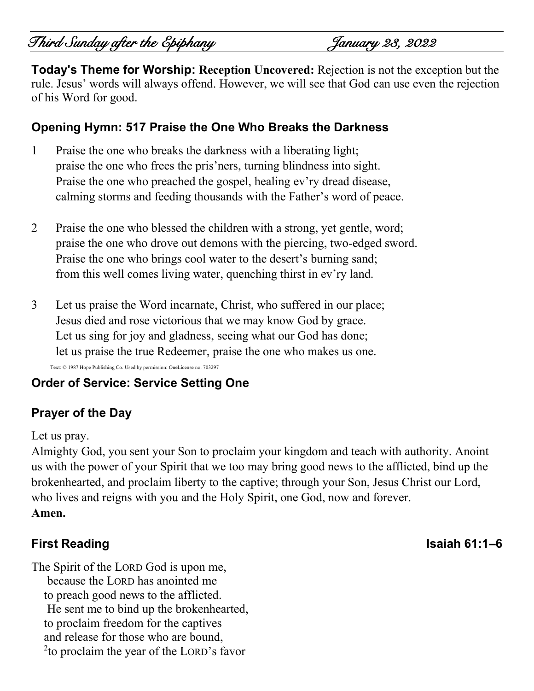# Third Sunday after the Epiphany January 23, 2022

**Today's Theme for Worship: Reception Uncovered:** Rejection is not the exception but the rule. Jesus' words will always offend. However, we will see that God can use even the rejection of his Word for good.

### **Opening Hymn: 517 Praise the One Who Breaks the Darkness**

- 1 Praise the one who breaks the darkness with a liberating light; praise the one who frees the pris'ners, turning blindness into sight. Praise the one who preached the gospel, healing ev'ry dread disease, calming storms and feeding thousands with the Father's word of peace.
- 2 Praise the one who blessed the children with a strong, yet gentle, word; praise the one who drove out demons with the piercing, two-edged sword. Praise the one who brings cool water to the desert's burning sand; from this well comes living water, quenching thirst in ev'ry land.
- 3 Let us praise the Word incarnate, Christ, who suffered in our place; Jesus died and rose victorious that we may know God by grace. Let us sing for joy and gladness, seeing what our God has done; let us praise the true Redeemer, praise the one who makes us one.

Text: © 1987 Hope Publishing Co. Used by permission: OneLicense no. 703297

## **Order of Service: Service Setting One**

## **Prayer of the Day**

#### Let us pray.

Almighty God, you sent your Son to proclaim your kingdom and teach with authority. Anoint us with the power of your Spirit that we too may bring good news to the afflicted, bind up the brokenhearted, and proclaim liberty to the captive; through your Son, Jesus Christ our Lord, who lives and reigns with you and the Holy Spirit, one God, now and forever. **Amen.**

## **First Reading Isaiah 61:1–6**

The Spirit of the LORD God is upon me, because the LORD has anointed me to preach good news to the afflicted. He sent me to bind up the brokenhearted, to proclaim freedom for the captives and release for those who are bound, <sup>2</sup>to proclaim the year of the LORD's favor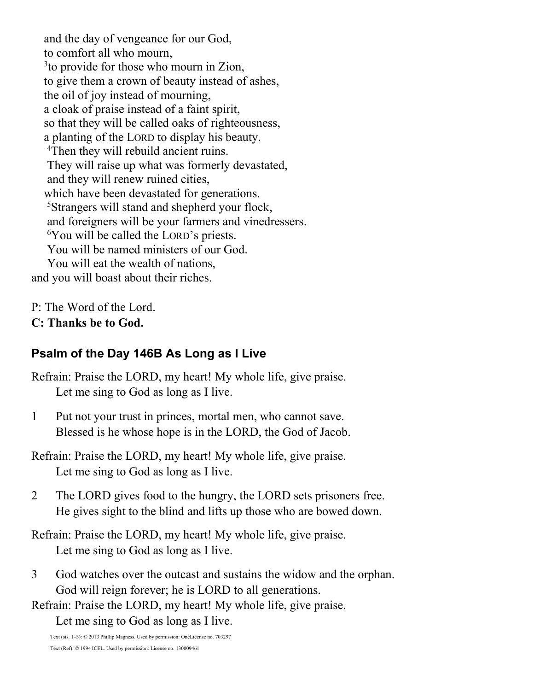and the day of vengeance for our God, to comfort all who mourn, <sup>3</sup> to provide for those who mourn in Zion, to give them a crown of beauty instead of ashes, the oil of joy instead of mourning, a cloak of praise instead of a faint spirit, so that they will be called oaks of righteousness, a planting of the LORD to display his beauty. <sup>4</sup>Then they will rebuild ancient ruins. They will raise up what was formerly devastated, and they will renew ruined cities, which have been devastated for generations. <sup>5</sup>Strangers will stand and shepherd your flock, and foreigners will be your farmers and vinedressers. <sup>6</sup>You will be called the LORD's priests. You will be named ministers of our God. You will eat the wealth of nations, and you will boast about their riches.

P: The Word of the Lord. **C: Thanks be to God.**

## **Psalm of the Day 146B As Long as I Live**

Refrain: Praise the LORD, my heart! My whole life, give praise. Let me sing to God as long as I live.

1 Put not your trust in princes, mortal men, who cannot save. Blessed is he whose hope is in the LORD, the God of Jacob.

Refrain: Praise the LORD, my heart! My whole life, give praise. Let me sing to God as long as I live.

- 2 The LORD gives food to the hungry, the LORD sets prisoners free. He gives sight to the blind and lifts up those who are bowed down.
- Refrain: Praise the LORD, my heart! My whole life, give praise. Let me sing to God as long as I live.
- 3 God watches over the outcast and sustains the widow and the orphan. God will reign forever; he is LORD to all generations.

Refrain: Praise the LORD, my heart! My whole life, give praise.

Let me sing to God as long as I live.

Text (sts. 1–3): © 2013 Phillip Magness. Used by permission: OneLicense no. 703297 Text (Ref): © 1994 ICEL. Used by permission: License no. 130009461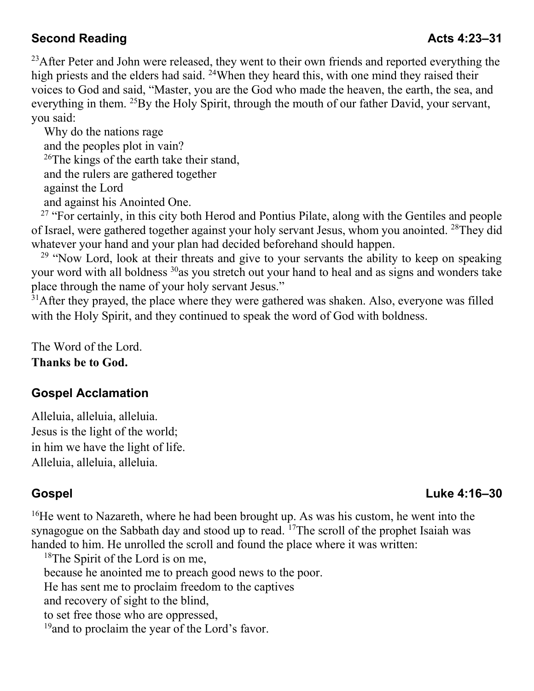## **Second Reading Acts 4:23–31**

<sup>23</sup>After Peter and John were released, they went to their own friends and reported everything the high priests and the elders had said. <sup>24</sup>When they heard this, with one mind they raised their voices to God and said, "Master, you are the God who made the heaven, the earth, the sea, and everything in them. <sup>25</sup>By the Holy Spirit, through the mouth of our father David, your servant, you said:

Why do the nations rage and the peoples plot in vain?  $^{26}$ The kings of the earth take their stand, and the rulers are gathered together against the Lord and against his Anointed One.

 $27$  "For certainly, in this city both Herod and Pontius Pilate, along with the Gentiles and people of Israel, were gathered together against your holy servant Jesus, whom you anointed. <sup>28</sup>They did whatever your hand and your plan had decided beforehand should happen.

 $29$  "Now Lord, look at their threats and give to your servants the ability to keep on speaking your word with all boldness <sup>30</sup>as you stretch out your hand to heal and as signs and wonders take place through the name of your holy servant Jesus."

 $31$ After they prayed, the place where they were gathered was shaken. Also, everyone was filled with the Holy Spirit, and they continued to speak the word of God with boldness.

The Word of the Lord. **Thanks be to God.**

## **Gospel Acclamation**

Alleluia, alleluia, alleluia. Jesus is the light of the world; in him we have the light of life. Alleluia, alleluia, alleluia.

## **Gospel Luke 4:16–30**

 $16$ He went to Nazareth, where he had been brought up. As was his custom, he went into the synagogue on the Sabbath day and stood up to read.  $^{17}$ The scroll of the prophet Isaiah was handed to him. He unrolled the scroll and found the place where it was written:

<sup>18</sup>The Spirit of the Lord is on me, because he anointed me to preach good news to the poor. He has sent me to proclaim freedom to the captives and recovery of sight to the blind, to set free those who are oppressed, <sup>19</sup> and to proclaim the year of the Lord's favor.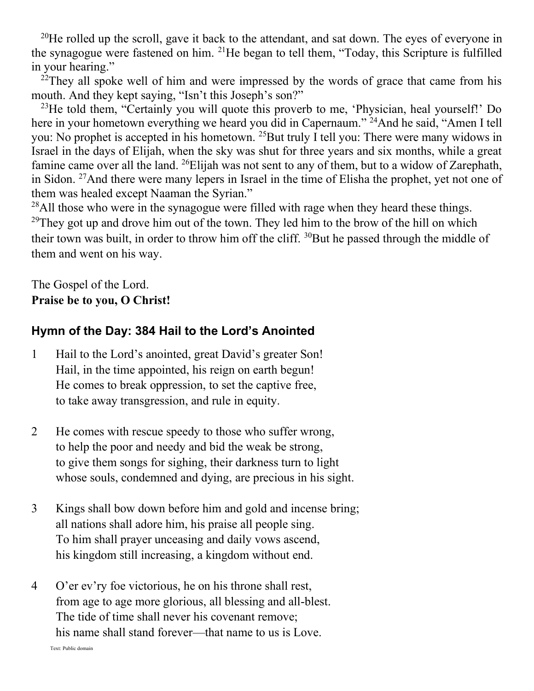<sup>20</sup>He rolled up the scroll, gave it back to the attendant, and sat down. The eyes of everyone in the synagogue were fastened on him.  $^{21}$ He began to tell them, "Today, this Scripture is fulfilled in your hearing."

 $^{22}$ They all spoke well of him and were impressed by the words of grace that came from his mouth. And they kept saying, "Isn't this Joseph's son?"

<sup>23</sup>He told them, "Certainly you will quote this proverb to me, 'Physician, heal yourself!' Do here in your hometown everything we heard you did in Capernaum."<sup>24</sup>And he said, "Amen I tell you: No prophet is accepted in his hometown. <sup>25</sup>But truly I tell you: There were many widows in Israel in the days of Elijah, when the sky was shut for three years and six months, while a great famine came over all the land. <sup>26</sup>Elijah was not sent to any of them, but to a widow of Zarephath, in Sidon. <sup>27</sup>And there were many lepers in Israel in the time of Elisha the prophet, yet not one of them was healed except Naaman the Syrian."

 $^{28}$ All those who were in the synagogue were filled with rage when they heard these things. <sup>29</sup>They got up and drove him out of the town. They led him to the brow of the hill on which their town was built, in order to throw him off the cliff.  $30$ But he passed through the middle of them and went on his way.

The Gospel of the Lord. **Praise be to you, O Christ!**

#### **Hymn of the Day: 384 Hail to the Lord's Anointed**

- 1 Hail to the Lord's anointed, great David's greater Son! Hail, in the time appointed, his reign on earth begun! He comes to break oppression, to set the captive free, to take away transgression, and rule in equity.
- 2 He comes with rescue speedy to those who suffer wrong, to help the poor and needy and bid the weak be strong, to give them songs for sighing, their darkness turn to light whose souls, condemned and dying, are precious in his sight.
- 3 Kings shall bow down before him and gold and incense bring; all nations shall adore him, his praise all people sing. To him shall prayer unceasing and daily vows ascend, his kingdom still increasing, a kingdom without end.
- 4 O'er ev'ry foe victorious, he on his throne shall rest, from age to age more glorious, all blessing and all-blest. The tide of time shall never his covenant remove; his name shall stand forever—that name to us is Love.

Text: Public domain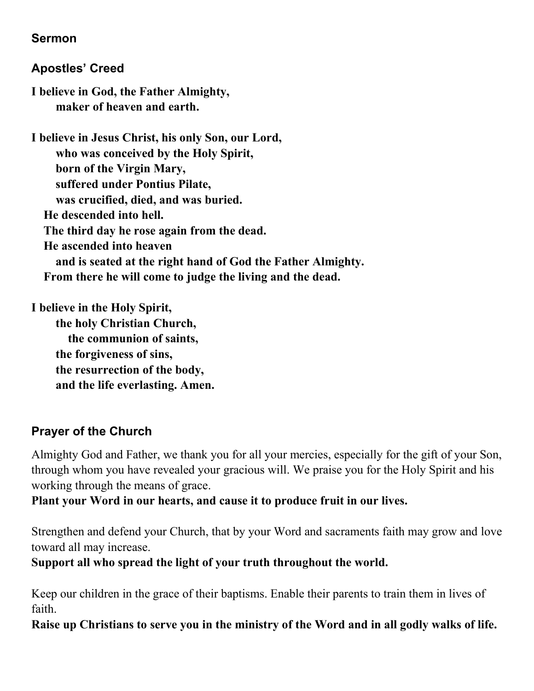#### **Sermon**

## **Apostles' Creed**

**I believe in God, the Father Almighty, maker of heaven and earth.**

**I believe in Jesus Christ, his only Son, our Lord, who was conceived by the Holy Spirit, born of the Virgin Mary, suffered under Pontius Pilate, was crucified, died, and was buried. He descended into hell. The third day he rose again from the dead. He ascended into heaven and is seated at the right hand of God the Father Almighty. From there he will come to judge the living and the dead.**

**I believe in the Holy Spirit, the holy Christian Church, the communion of saints, the forgiveness of sins, the resurrection of the body, and the life everlasting. Amen.**

## **Prayer of the Church**

Almighty God and Father, we thank you for all your mercies, especially for the gift of your Son, through whom you have revealed your gracious will. We praise you for the Holy Spirit and his working through the means of grace.

**Plant your Word in our hearts, and cause it to produce fruit in our lives.**

Strengthen and defend your Church, that by your Word and sacraments faith may grow and love toward all may increase.

**Support all who spread the light of your truth throughout the world.**

Keep our children in the grace of their baptisms. Enable their parents to train them in lives of faith.

**Raise up Christians to serve you in the ministry of the Word and in all godly walks of life.**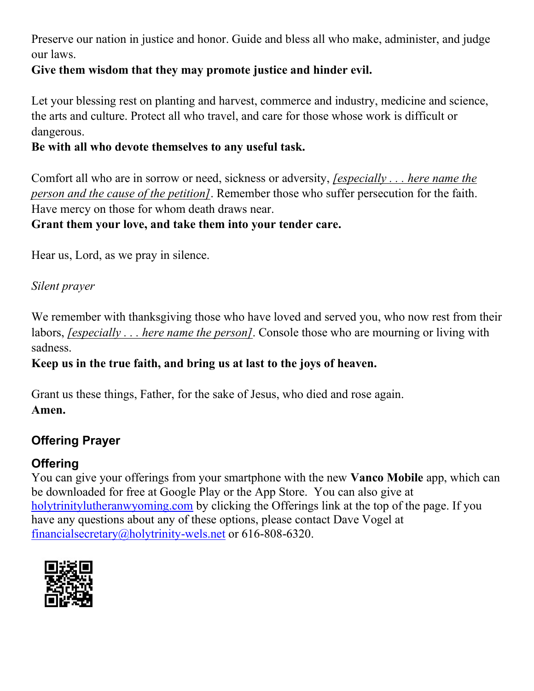Preserve our nation in justice and honor. Guide and bless all who make, administer, and judge our laws.

## **Give them wisdom that they may promote justice and hinder evil.**

Let your blessing rest on planting and harvest, commerce and industry, medicine and science, the arts and culture. Protect all who travel, and care for those whose work is difficult or dangerous.

#### **Be with all who devote themselves to any useful task.**

Comfort all who are in sorrow or need, sickness or adversity, *[especially . . . here name the person and the cause of the petition]*. Remember those who suffer persecution for the faith. Have mercy on those for whom death draws near.

#### **Grant them your love, and take them into your tender care.**

Hear us, Lord, as we pray in silence.

#### *Silent prayer*

We remember with thanksgiving those who have loved and served you, who now rest from their labors, *[especially . . . here name the person]*. Console those who are mourning or living with sadness.

## **Keep us in the true faith, and bring us at last to the joys of heaven.**

Grant us these things, Father, for the sake of Jesus, who died and rose again. **Amen.**

## **Offering Prayer**

## **Offering**

You can give your offerings from your smartphone with the new **Vanco Mobile** app, which can be downloaded for free at Google Play or the App Store. You can also give at [holytrinitylutheranwyoming.com](http://holytrinitylutheranwyoming.com/) by clicking the Offerings link at the top of the page. If you have any questions about any of these options, please contact Dave Vogel at [financialsecretary@holytrinity-wels.net](mailto:financialsecretary@holytrinity-wels.net) or 616-808-6320.

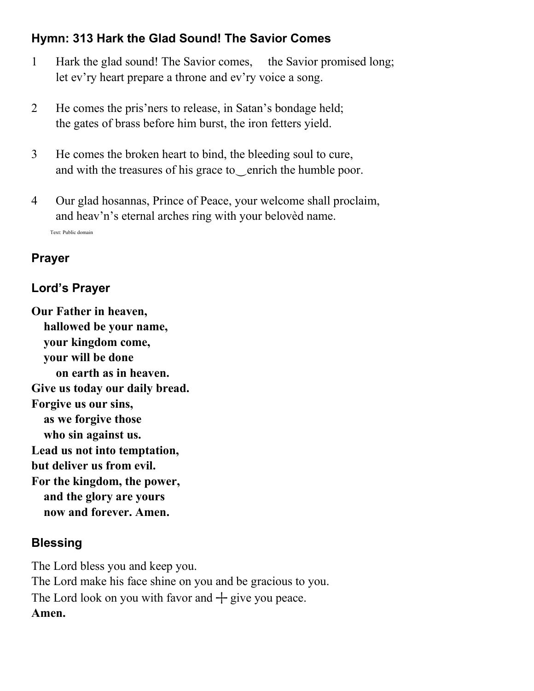## **Hymn: 313 Hark the Glad Sound! The Savior Comes**

- 1 Hark the glad sound! The Savior comes, the Savior promised long; let ev'ry heart prepare a throne and ev'ry voice a song.
- 2 He comes the pris'ners to release, in Satan's bondage held; the gates of brass before him burst, the iron fetters yield.
- 3 He comes the broken heart to bind, the bleeding soul to cure, and with the treasures of his grace to‿enrich the humble poor.
- 4 Our glad hosannas, Prince of Peace, your welcome shall proclaim, and heav'n's eternal arches ring with your belovèd name. Text: Public domain

## **Prayer**

## **Lord's Prayer**

**Our Father in heaven, hallowed be your name, your kingdom come, your will be done on earth as in heaven. Give us today our daily bread. Forgive us our sins, as we forgive those who sin against us. Lead us not into temptation, but deliver us from evil. For the kingdom, the power, and the glory are yours now and forever. Amen.**

## **Blessing**

The Lord bless you and keep you. The Lord make his face shine on you and be gracious to you. The Lord look on you with favor and  $+$  give you peace. **Amen.**